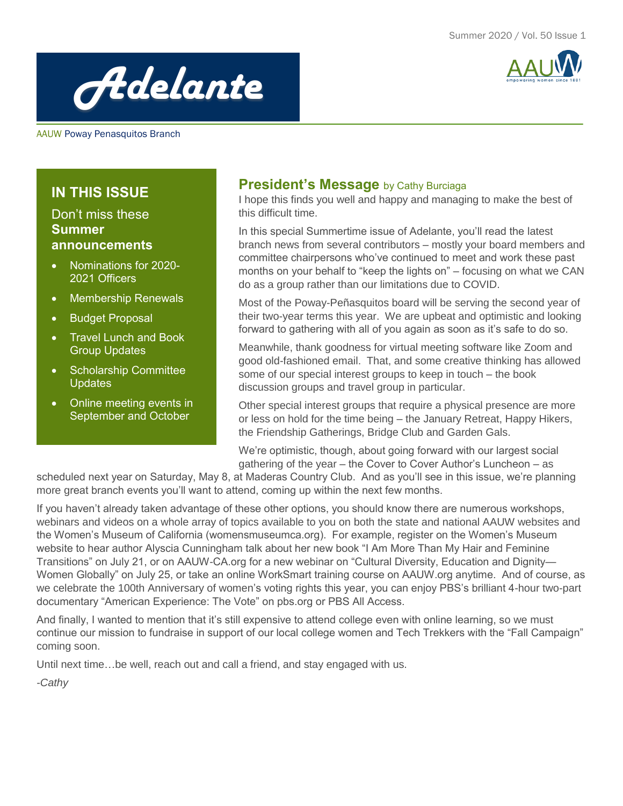



AAUW Poway Penasquitos Branch

# **IN THIS ISSUE**

## Don't miss these **Summer announcements**

- Nominations for 2020- 2021 Officers
- Membership Renewals
- Budget Proposal
- Travel Lunch and Book Group Updates
- Scholarship Committee **Updates**
- Online meeting events in September and October

## **President's Message** by Cathy Burciaga

I hope this finds you well and happy and managing to make the best of this difficult time.

In this special Summertime issue of Adelante, you'll read the latest branch news from several contributors – mostly your board members and committee chairpersons who've continued to meet and work these past months on your behalf to "keep the lights on" – focusing on what we CAN do as a group rather than our limitations due to COVID.

Most of the Poway-Peñasquitos board will be serving the second year of their two-year terms this year. We are upbeat and optimistic and looking forward to gathering with all of you again as soon as it's safe to do so.

Meanwhile, thank goodness for virtual meeting software like Zoom and good old-fashioned email. That, and some creative thinking has allowed some of our special interest groups to keep in touch – the book discussion groups and travel group in particular.

Other special interest groups that require a physical presence are more or less on hold for the time being – the January Retreat, Happy Hikers, the Friendship Gatherings, Bridge Club and Garden Gals.

We're optimistic, though, about going forward with our largest social gathering of the year – the Cover to Cover Author's Luncheon – as

scheduled next year on Saturday, May 8, at Maderas Country Club. And as you'll see in this issue, we're planning more great branch events you'll want to attend, coming up within the next few months.

If you haven't already taken advantage of these other options, you should know there are numerous workshops, webinars and videos on a whole array of topics available to you on both the state and national AAUW websites and the Women's Museum of California (womensmuseumca.org). For example, register on the Women's Museum website to hear author Alyscia Cunningham talk about her new book "I Am More Than My Hair and Feminine Transitions" on July 21, or on AAUW-CA.org for a new webinar on "Cultural Diversity, Education and Dignity— Women Globally" on July 25, or take an online WorkSmart training course on AAUW.org anytime. And of course, as we celebrate the 100th Anniversary of women's voting rights this year, you can enjoy PBS's brilliant 4-hour two-part documentary "American Experience: The Vote" on pbs.org or PBS All Access.

And finally, I wanted to mention that it's still expensive to attend college even with online learning, so we must continue our mission to fundraise in support of our local college women and Tech Trekkers with the "Fall Campaign" coming soon.

Until next time…be well, reach out and call a friend, and stay engaged with us.

*-Cathy Tap here to add a caption*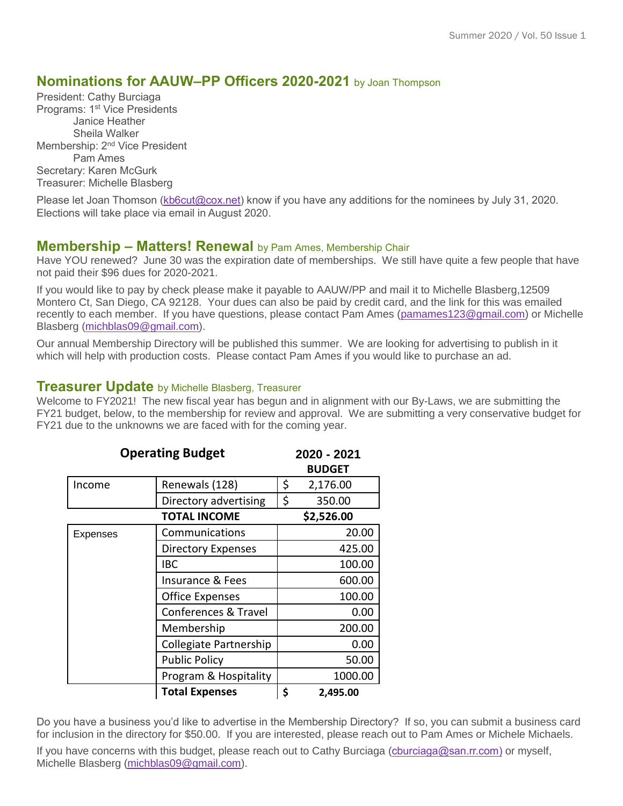## **Nominations for AAUW–PP Officers 2020-2021** by Joan Thompson

President: Cathy Burciaga Programs: 1<sup>st</sup> Vice Presidents Janice Heather Sheila Walker Membership: 2<sup>nd</sup> Vice President Pam Ames Secretary: Karen McGurk Treasurer: Michelle Blasberg

Please let Joan Thomson [\(kb6cut@cox.net\)](mailto:kb6cut@cox.net) know if you have any additions for the nominees by July 31, 2020. Elections will take place via email in August 2020.

#### **Membership – Matters! Renewal** by Pam Ames, Membership Chair

Have YOU renewed? June 30 was the expiration date of memberships. We still have quite a few people that have not paid their \$96 dues for 2020-2021.

If you would like to pay by check please make it payable to AAUW/PP and mail it to Michelle Blasberg,12509 Montero Ct, San Diego, CA 92128. Your dues can also be paid by credit card, and the link for this was emailed recently to each member. If you have questions, please contact Pam Ames [\(pamames123@gmail.com\)](mailto:pamames123@gmail.com) or Michelle Blasberg [\(michblas09@gmail.com\)](mailto:michblas09@gmail.com).

Our annual Membership Directory will be published this summer. We are looking for advertising to publish in it which will help with production costs. Please contact Pam Ames if you would like to purchase an ad.

#### **Treasurer Update** by Michelle Blasberg, Treasurer

Welcome to FY2021! The new fiscal year has begun and in alignment with our By-Laws, we are submitting the FY21 budget, below, to the membership for review and approval. We are submitting a very conservative budget for FY21 due to the unknowns we are faced with for the coming year.

| <b>Operating Budget</b> |                           | 2020 - 2021<br><b>BUDGET</b> |
|-------------------------|---------------------------|------------------------------|
| Income                  | Renewals (128)            | \$<br>2,176.00               |
|                         | Directory advertising     | \$<br>350.00                 |
| <b>TOTAL INCOME</b>     |                           | \$2,526.00                   |
| Expenses                | Communications            | 20.00                        |
|                         | <b>Directory Expenses</b> | 425.00                       |
|                         | IBC                       | 100.00                       |
|                         | Insurance & Fees          | 600.00                       |
|                         | <b>Office Expenses</b>    | 100.00                       |
|                         | Conferences & Travel      | 0.00                         |
|                         | Membership                | 200.00                       |
|                         | Collegiate Partnership    | 0.00                         |
|                         | <b>Public Policy</b>      | 50.00                        |
|                         | Program & Hospitality     | 1000.00                      |
|                         | <b>Total Expenses</b>     | \$<br>2,495.00               |

Do you have a business you'd like to advertise in the Membership Directory? If so, you can submit a business card for inclusion in the directory for \$50.00. If you are interested, please reach out to Pam Ames or Michele Michaels.

If you have concerns with this budget, please reach out to Cathy Burciaga [\(cburciaga@san.rr.com\)](mailto:cburciaga@san.rr.com) or myself, Michelle Blasberg [\(michblas09@gmail.com\)](mailto:michblas09@gmail.com).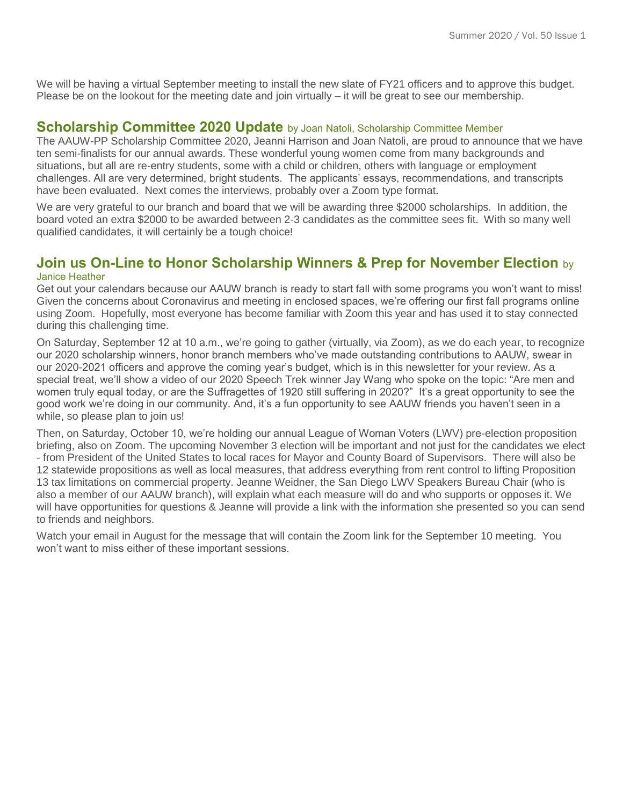We will be having a virtual September meeting to install the new slate of FY21 officers and to approve this budget. Please be on the lookout for the meeting date and join virtually – it will be great to see our membership.

### **Scholarship Committee 2020 Update** by Joan Natoli, Scholarship Committee Member

The AAUW-PP Scholarship Committee 2020, Jeanni Harrison and Joan Natoli, are proud to announce that we have ten semi-finalists for our annual awards. These wonderful young women come from many backgrounds and situations, but all are re-entry students, some with a child or children, others with language or employment challenges. All are very determined, bright students. The applicants' essays, recommendations, and transcripts have been evaluated. Next comes the interviews, probably over a Zoom type format.

We are very grateful to our branch and board that we will be awarding three \$2000 scholarships. In addition, the board voted an extra \$2000 to be awarded between 2-3 candidates as the committee sees fit. With so many well qualified candidates, it will certainly be a tough choice!

#### **Join us On-Line to Honor Scholarship Winners & Prep for November Election** by Janice Heather

Get out your calendars because our AAUW branch is ready to start fall with some programs you won't want to miss! Given the concerns about Coronavirus and meeting in enclosed spaces, we're offering our first fall programs online using Zoom. Hopefully, most everyone has become familiar with Zoom this year and has used it to stay connected during this challenging time.

On Saturday, September 12 at 10 a.m., we're going to gather (virtually, via Zoom), as we do each year, to recognize our 2020 scholarship winners, honor branch members who've made outstanding contributions to AAUW, swear in our 2020-2021 officers and approve the coming year's budget, which is in this newsletter for your review. As a special treat, we'll show a video of our 2020 Speech Trek winner Jay Wang who spoke on the topic: "Are men and women truly equal today, or are the Suffragettes of 1920 still suffering in 2020?" It's a great opportunity to see the good work we're doing in our community. And, it's a fun opportunity to see AAUW friends you haven't seen in a while, so please plan to join us!

Then, on Saturday, October 10, we're holding our annual League of Woman Voters (LWV) pre-election proposition briefing, also on Zoom. The upcoming November 3 election will be important and not just for the candidates we elect - from President of the United States to local races for Mayor and County Board of Supervisors. There will also be 12 statewide propositions as well as local measures, that address everything from rent control to lifting Proposition 13 tax limitations on commercial property. Jeanne Weidner, the San Diego LWV Speakers Bureau Chair (who is also a member of our AAUW branch), will explain what each measure will do and who supports or opposes it. We will have opportunities for questions & Jeanne will provide a link with the information she presented so you can send to friends and neighbors.

Watch your email in August for the message that will contain the Zoom link for the September 10 meeting. You won't want to miss either of these important sessions.